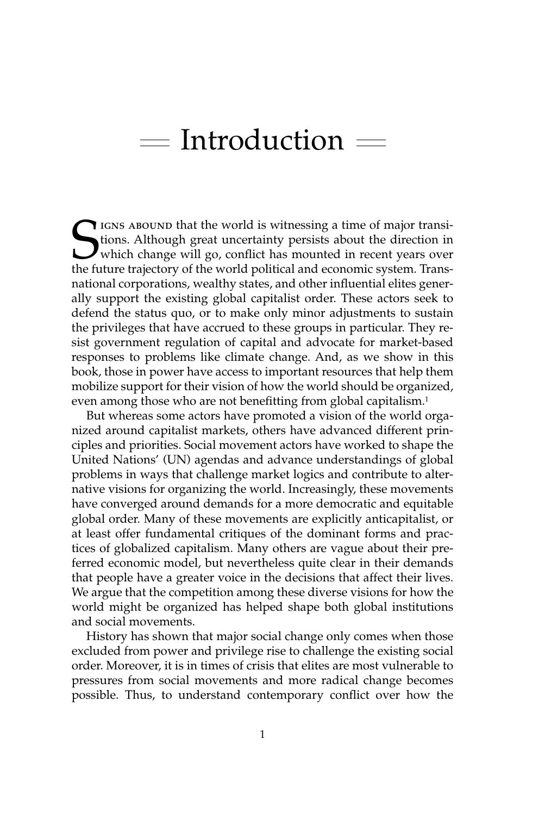# $=$  Introduction  $=$

S<br>the fi IGNS ABOUND that the world is witnessing a time of major transitions. Although great uncertainty persists about the direction in which change will go, conflict has mounted in recent years over the future trajectory of the world political and economic system. Transnational corporations, wealthy states, and other influential elites generally support the existing global capitalist order. These actors seek to defend the status quo, or to make only minor adjustments to sustain the privileges that have accrued to these groups in particular. They resist government regulation of capital and advocate for market-based responses to problems like climate change. And, as we show in this book, those in power have access to important resources that help them mobilize support for their vision of how the world should be organized, even among those who are not benefitting from global capitalism.<sup>1</sup>

But whereas some actors have promoted a vision of the world organized around capitalist markets, others have advanced different principles and priorities. Social movement actors have worked to shape the United Nations' (UN) agendas and advance understandings of global problems in ways that challenge market logics and contribute to alternative visions for organizing the world. Increasingly, these movements have converged around demands for a more democratic and equitable global order. Many of these movements are explicitly anticapitalist, or at least offer fundamental critiques of the dominant forms and practices of globalized capitalism. Many others are vague about their preferred economic model, but nevertheless quite clear in their demands that people have a greater voice in the decisions that affect their lives. We argue that the competition among these diverse visions for how the world might be organized has helped shape both global institutions and social movements.

History has shown that major social change only comes when those excluded from power and privilege rise to challenge the existing social order. Moreover, it is in times of crisis that elites are most vulnerable to pressures from social movements and more radical change becomes possible. Thus, to understand contemporary conflict over how the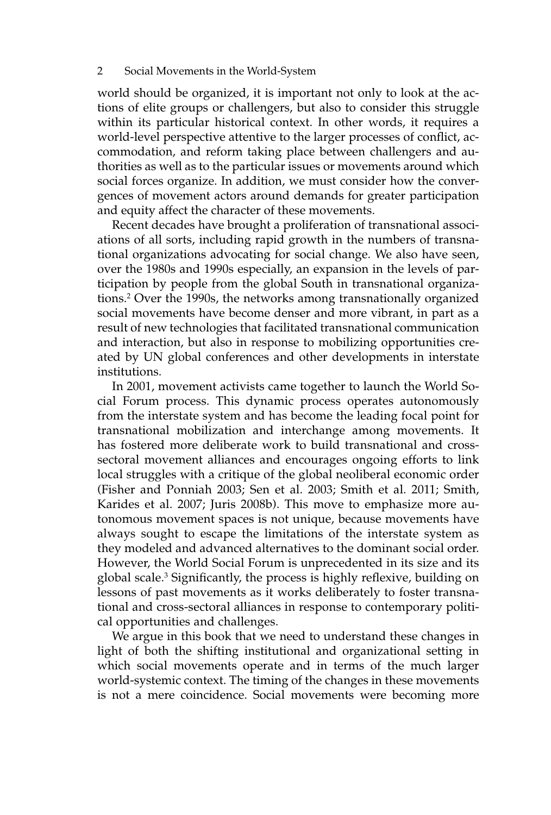world should be organized, it is important not only to look at the actions of elite groups or challengers, but also to consider this struggle within its particular historical context. In other words, it requires a world-level perspective attentive to the larger processes of conflict, accommodation, and reform taking place between challengers and authorities as well as to the particular issues or movements around which social forces organize. In addition, we must consider how the convergences of movement actors around demands for greater participation and equity affect the character of these movements.

Recent decades have brought a proliferation of transnational associations of all sorts, including rapid growth in the numbers of transnational organizations advocating for social change. We also have seen, over the 1980s and 1990s especially, an expansion in the levels of participation by people from the global South in transnational organizations.2 Over the 1990s, the networks among transnationally organized social movements have become denser and more vibrant, in part as a result of new technologies that facilitated transnational communication and interaction, but also in response to mobilizing opportunities created by UN global conferences and other developments in interstate institutions.

In 2001, movement activists came together to launch the World Social Forum process. This dynamic process operates autonomously from the interstate system and has become the leading focal point for transnational mobilization and interchange among movements. It has fostered more deliberate work to build transnational and crosssectoral movement alliances and encourages ongoing efforts to link local struggles with a critique of the global neoliberal economic order (Fisher and Ponniah 2003; Sen et al. 2003; Smith et al. 2011; Smith, Karides et al. 2007; Juris 2008b). This move to emphasize more autonomous movement spaces is not unique, because movements have always sought to escape the limitations of the interstate system as they modeled and advanced alternatives to the dominant social order. However, the World Social Forum is unprecedented in its size and its global scale.3 Significantly, the process is highly reflexive, building on lessons of past movements as it works deliberately to foster transnational and cross-sectoral alliances in response to contemporary political opportunities and challenges.

We argue in this book that we need to understand these changes in light of both the shifting institutional and organizational setting in which social movements operate and in terms of the much larger world-systemic context. The timing of the changes in these movements is not a mere coincidence. Social movements were becoming more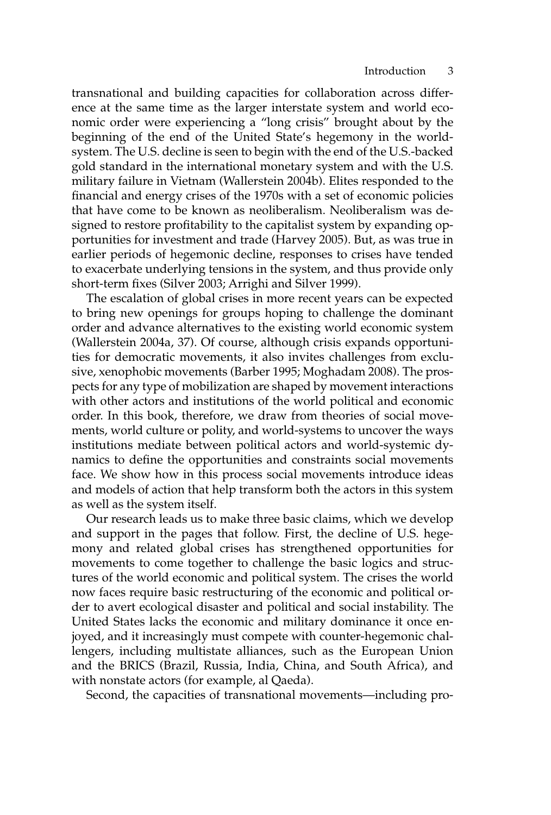transnational and building capacities for collaboration across difference at the same time as the larger interstate system and world economic order were experiencing a "long crisis" brought about by the beginning of the end of the United State's hegemony in the worldsystem. The U.S. decline is seen to begin with the end of the U.S.-backed gold standard in the international monetary system and with the U.S. military failure in Vietnam (Wallerstein 2004b). Elites responded to the financial and energy crises of the 1970s with a set of economic policies that have come to be known as neoliberalism. Neoliberalism was designed to restore profitability to the capitalist system by expanding opportunities for investment and trade (Harvey 2005). But, as was true in earlier periods of hegemonic decline, responses to crises have tended to exacerbate underlying tensions in the system, and thus provide only short-term fixes (Silver 2003; Arrighi and Silver 1999).

The escalation of global crises in more recent years can be expected to bring new openings for groups hoping to challenge the dominant order and advance alternatives to the existing world economic system (Wallerstein 2004a, 37). Of course, although crisis expands opportunities for democratic movements, it also invites challenges from exclusive, xenophobic movements (Barber 1995; Moghadam 2008). The prospects for any type of mobilization are shaped by movement interactions with other actors and institutions of the world political and economic order. In this book, therefore, we draw from theories of social movements, world culture or polity, and world-systems to uncover the ways institutions mediate between political actors and world-systemic dynamics to define the opportunities and constraints social movements face. We show how in this process social movements introduce ideas and models of action that help transform both the actors in this system as well as the system itself.

Our research leads us to make three basic claims, which we develop and support in the pages that follow. First, the decline of U.S. hegemony and related global crises has strengthened opportunities for movements to come together to challenge the basic logics and structures of the world economic and political system. The crises the world now faces require basic restructuring of the economic and political order to avert ecological disaster and political and social instability. The United States lacks the economic and military dominance it once enjoyed, and it increasingly must compete with counter-hegemonic challengers, including multistate alliances, such as the European Union and the BRICS (Brazil, Russia, India, China, and South Africa), and with nonstate actors (for example, al Qaeda).

Second, the capacities of transnational movements—including pro-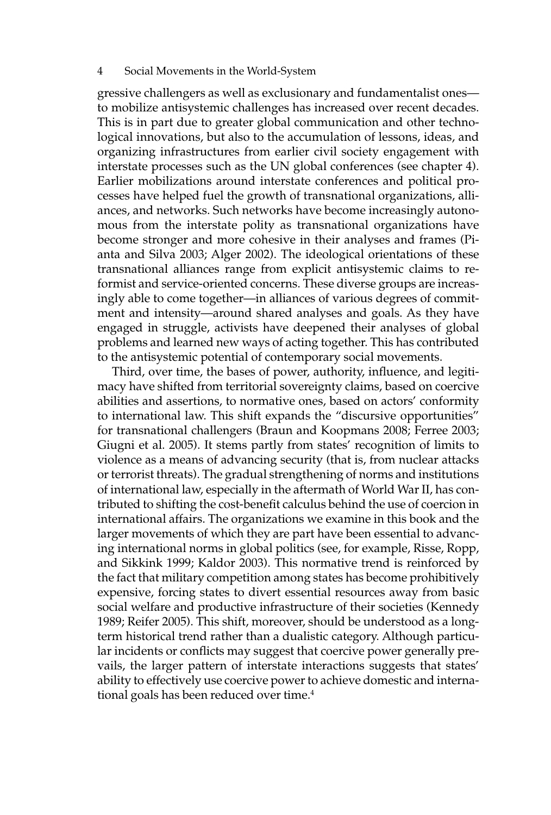gressive challengers as well as exclusionary and fundamentalist ones to mobilize antisystemic challenges has increased over recent decades. This is in part due to greater global communication and other technological innovations, but also to the accumulation of lessons, ideas, and organizing infrastructures from earlier civil society engagement with interstate processes such as the UN global conferences (see chapter 4). Earlier mobilizations around interstate conferences and political processes have helped fuel the growth of transnational organizations, alliances, and networks. Such networks have become increasingly autonomous from the interstate polity as transnational organizations have become stronger and more cohesive in their analyses and frames (Pianta and Silva 2003; Alger 2002). The ideological orientations of these transnational alliances range from explicit antisystemic claims to reformist and service-oriented concerns. These diverse groups are increasingly able to come together—in alliances of various degrees of commitment and intensity—around shared analyses and goals. As they have engaged in struggle, activists have deepened their analyses of global problems and learned new ways of acting together. This has contributed to the antisystemic potential of contemporary social movements.

Third, over time, the bases of power, authority, influence, and legitimacy have shifted from territorial sovereignty claims, based on coercive abilities and assertions, to normative ones, based on actors' conformity to international law. This shift expands the "discursive opportunities" for transnational challengers (Braun and Koopmans 2008; Ferree 2003; Giugni et al. 2005). It stems partly from states' recognition of limits to violence as a means of advancing security (that is, from nuclear attacks or terrorist threats). The gradual strengthening of norms and institutions of international law, especially in the aftermath of World War II, has contributed to shifting the cost-benefit calculus behind the use of coercion in international affairs. The organizations we examine in this book and the larger movements of which they are part have been essential to advancing international norms in global politics (see, for example, Risse, Ropp, and Sikkink 1999; Kaldor 2003). This normative trend is reinforced by the fact that military competition among states has become prohibitively expensive, forcing states to divert essential resources away from basic social welfare and productive infrastructure of their societies (Kennedy 1989; Reifer 2005). This shift, moreover, should be understood as a longterm historical trend rather than a dualistic category. Although particular incidents or conflicts may suggest that coercive power generally prevails, the larger pattern of interstate interactions suggests that states' ability to effectively use coercive power to achieve domestic and international goals has been reduced over time.<sup>4</sup>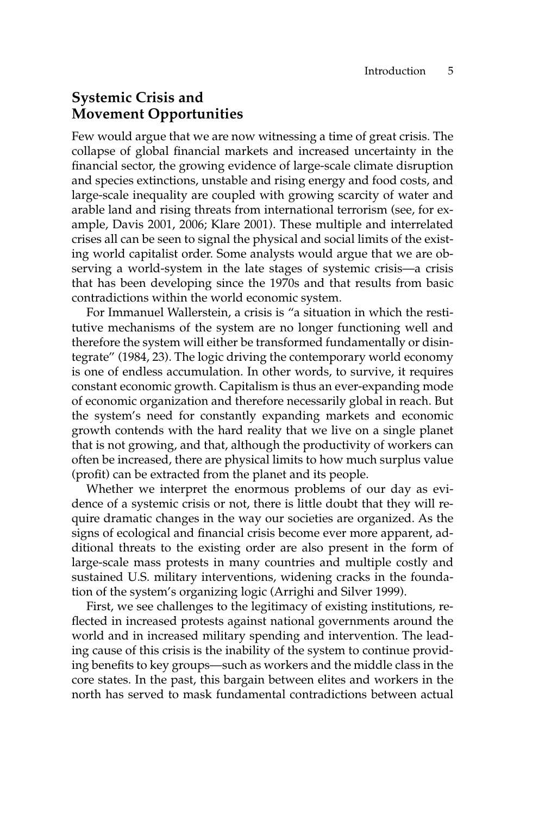# **Systemic Crisis and Movement Opportunities**

Few would argue that we are now witnessing a time of great crisis. The collapse of global financial markets and increased uncertainty in the financial sector, the growing evidence of large-scale climate disruption and species extinctions, unstable and rising energy and food costs, and large-scale inequality are coupled with growing scarcity of water and arable land and rising threats from international terrorism (see, for example, Davis 2001, 2006; Klare 2001). These multiple and interrelated crises all can be seen to signal the physical and social limits of the existing world capitalist order. Some analysts would argue that we are observing a world-system in the late stages of systemic crisis—a crisis that has been developing since the 1970s and that results from basic contradictions within the world economic system.

For Immanuel Wallerstein, a crisis is "a situation in which the restitutive mechanisms of the system are no longer functioning well and therefore the system will either be transformed fundamentally or disintegrate" (1984, 23). The logic driving the contemporary world economy is one of endless accumulation. In other words, to survive, it requires constant economic growth. Capitalism is thus an ever-expanding mode of economic organization and therefore necessarily global in reach. But the system's need for constantly expanding markets and economic growth contends with the hard reality that we live on a single planet that is not growing, and that, although the productivity of workers can often be increased, there are physical limits to how much surplus value (profit) can be extracted from the planet and its people.

Whether we interpret the enormous problems of our day as evidence of a systemic crisis or not, there is little doubt that they will require dramatic changes in the way our societies are organized. As the signs of ecological and financial crisis become ever more apparent, additional threats to the existing order are also present in the form of large-scale mass protests in many countries and multiple costly and sustained U.S. military interventions, widening cracks in the foundation of the system's organizing logic (Arrighi and Silver 1999).

First, we see challenges to the legitimacy of existing institutions, reflected in increased protests against national governments around the world and in increased military spending and intervention. The leading cause of this crisis is the inability of the system to continue providing benefits to key groups—such as workers and the middle class in the core states. In the past, this bargain between elites and workers in the north has served to mask fundamental contradictions between actual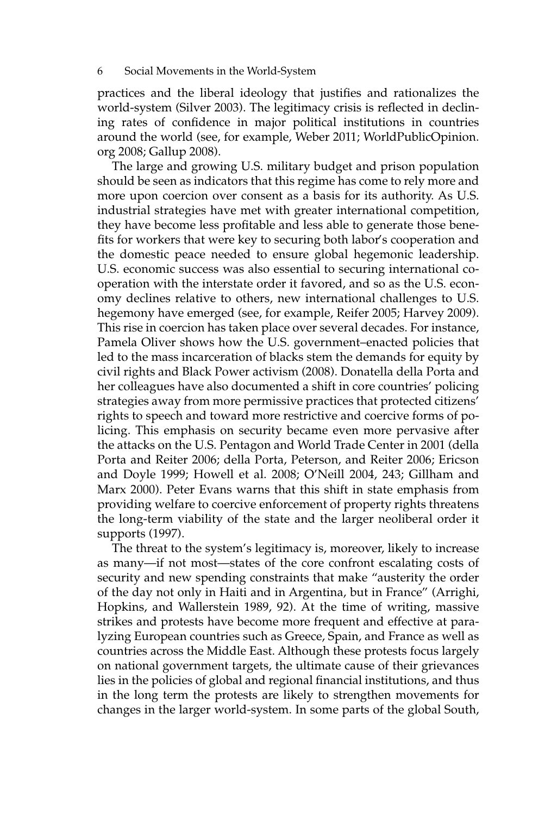practices and the liberal ideology that justifies and rationalizes the world-system (Silver 2003). The legitimacy crisis is reflected in declining rates of confidence in major political institutions in countries around the world (see, for example, Weber 2011; WorldPublicOpinion. org 2008; Gallup 2008).

The large and growing U.S. military budget and prison population should be seen as indicators that this regime has come to rely more and more upon coercion over consent as a basis for its authority. As U.S. industrial strategies have met with greater international competition, they have become less profitable and less able to generate those benefits for workers that were key to securing both labor's cooperation and the domestic peace needed to ensure global hegemonic leadership. U.S. economic success was also essential to securing international cooperation with the interstate order it favored, and so as the U.S. economy declines relative to others, new international challenges to U.S. hegemony have emerged (see, for example, Reifer 2005; Harvey 2009). This rise in coercion has taken place over several decades. For instance, Pamela Oliver shows how the U.S. government–enacted policies that led to the mass incarceration of blacks stem the demands for equity by civil rights and Black Power activism (2008). Donatella della Porta and her colleagues have also documented a shift in core countries' policing strategies away from more permissive practices that protected citizens' rights to speech and toward more restrictive and coercive forms of policing. This emphasis on security became even more pervasive after the attacks on the U.S. Pentagon and World Trade Center in 2001 (della Porta and Reiter 2006; della Porta, Peterson, and Reiter 2006; Ericson and Doyle 1999; Howell et al. 2008; O'Neill 2004, 243; Gillham and Marx 2000). Peter Evans warns that this shift in state emphasis from providing welfare to coercive enforcement of property rights threatens the long-term viability of the state and the larger neoliberal order it supports (1997).

The threat to the system's legitimacy is, moreover, likely to increase as many—if not most—states of the core confront escalating costs of security and new spending constraints that make "austerity the order of the day not only in Haiti and in Argentina, but in France" (Arrighi, Hopkins, and Wallerstein 1989, 92). At the time of writing, massive strikes and protests have become more frequent and effective at paralyzing European countries such as Greece, Spain, and France as well as countries across the Middle East. Although these protests focus largely on national government targets, the ultimate cause of their grievances lies in the policies of global and regional financial institutions, and thus in the long term the protests are likely to strengthen movements for changes in the larger world-system. In some parts of the global South,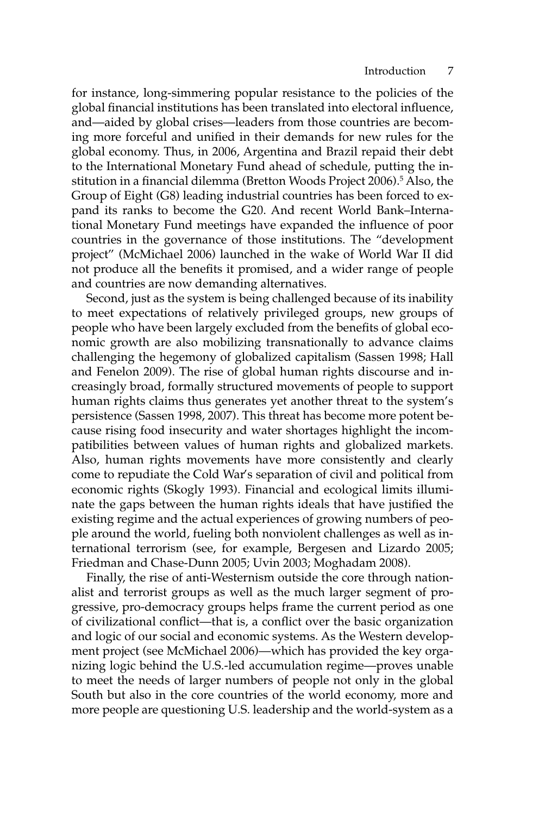for instance, long-simmering popular resistance to the policies of the global financial institutions has been translated into electoral influence, and—aided by global crises—leaders from those countries are becoming more forceful and unified in their demands for new rules for the global economy. Thus, in 2006, Argentina and Brazil repaid their debt to the International Monetary Fund ahead of schedule, putting the institution in a financial dilemma (Bretton Woods Project 2006).5 Also, the Group of Eight (G8) leading industrial countries has been forced to expand its ranks to become the G20. And recent World Bank–International Monetary Fund meetings have expanded the influence of poor countries in the governance of those institutions. The "development project" (McMichael 2006) launched in the wake of World War II did not produce all the benefits it promised, and a wider range of people and countries are now demanding alternatives.

Second, just as the system is being challenged because of its inability to meet expectations of relatively privileged groups, new groups of people who have been largely excluded from the benefits of global economic growth are also mobilizing transnationally to advance claims challenging the hegemony of globalized capitalism (Sassen 1998; Hall and Fenelon 2009). The rise of global human rights discourse and increasingly broad, formally structured movements of people to support human rights claims thus generates yet another threat to the system's persistence (Sassen 1998, 2007). This threat has become more potent because rising food insecurity and water shortages highlight the incompatibilities between values of human rights and globalized markets. Also, human rights movements have more consistently and clearly come to repudiate the Cold War's separation of civil and political from economic rights (Skogly 1993). Financial and ecological limits illuminate the gaps between the human rights ideals that have justified the existing regime and the actual experiences of growing numbers of people around the world, fueling both nonviolent challenges as well as international terrorism (see, for example, Bergesen and Lizardo 2005; Friedman and Chase-Dunn 2005; Uvin 2003; Moghadam 2008).

Finally, the rise of anti-Westernism outside the core through nationalist and terrorist groups as well as the much larger segment of progressive, pro-democracy groups helps frame the current period as one of civilizational conflict—that is, a conflict over the basic organization and logic of our social and economic systems. As the Western development project (see McMichael 2006)—which has provided the key organizing logic behind the U.S.-led accumulation regime—proves unable to meet the needs of larger numbers of people not only in the global South but also in the core countries of the world economy, more and more people are questioning U.S. leadership and the world-system as a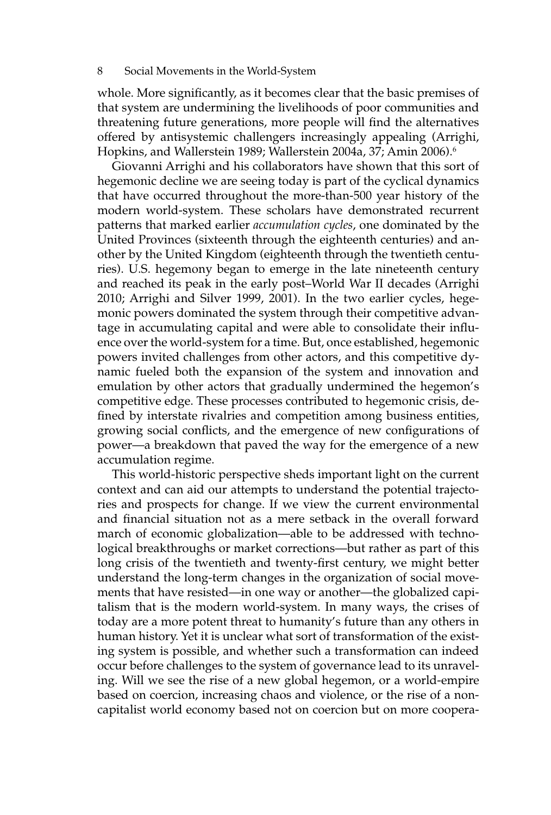whole. More significantly, as it becomes clear that the basic premises of that system are undermining the livelihoods of poor communities and threatening future generations, more people will find the alternatives offered by antisystemic challengers increasingly appealing (Arrighi, Hopkins, and Wallerstein 1989; Wallerstein 2004a, 37; Amin 2006).6

Giovanni Arrighi and his collaborators have shown that this sort of hegemonic decline we are seeing today is part of the cyclical dynamics that have occurred throughout the more-than-500 year history of the modern world-system. These scholars have demonstrated recurrent patterns that marked earlier *accumulation cycles*, one dominated by the United Provinces (sixteenth through the eighteenth centuries) and another by the United Kingdom (eighteenth through the twentieth centuries). U.S. hegemony began to emerge in the late nineteenth century and reached its peak in the early post–World War II decades (Arrighi 2010; Arrighi and Silver 1999, 2001). In the two earlier cycles, hegemonic powers dominated the system through their competitive advantage in accumulating capital and were able to consolidate their influence over the world-system for a time. But, once established, hegemonic powers invited challenges from other actors, and this competitive dynamic fueled both the expansion of the system and innovation and emulation by other actors that gradually undermined the hegemon's competitive edge. These processes contributed to hegemonic crisis, defined by interstate rivalries and competition among business entities, growing social conflicts, and the emergence of new configurations of power—a breakdown that paved the way for the emergence of a new accumulation regime.

This world-historic perspective sheds important light on the current context and can aid our attempts to understand the potential trajectories and prospects for change. If we view the current environmental and financial situation not as a mere setback in the overall forward march of economic globalization—able to be addressed with technological breakthroughs or market corrections—but rather as part of this long crisis of the twentieth and twenty-first century, we might better understand the long-term changes in the organization of social movements that have resisted—in one way or another—the globalized capitalism that is the modern world-system. In many ways, the crises of today are a more potent threat to humanity's future than any others in human history. Yet it is unclear what sort of transformation of the existing system is possible, and whether such a transformation can indeed occur before challenges to the system of governance lead to its unraveling. Will we see the rise of a new global hegemon, or a world-empire based on coercion, increasing chaos and violence, or the rise of a noncapitalist world economy based not on coercion but on more coopera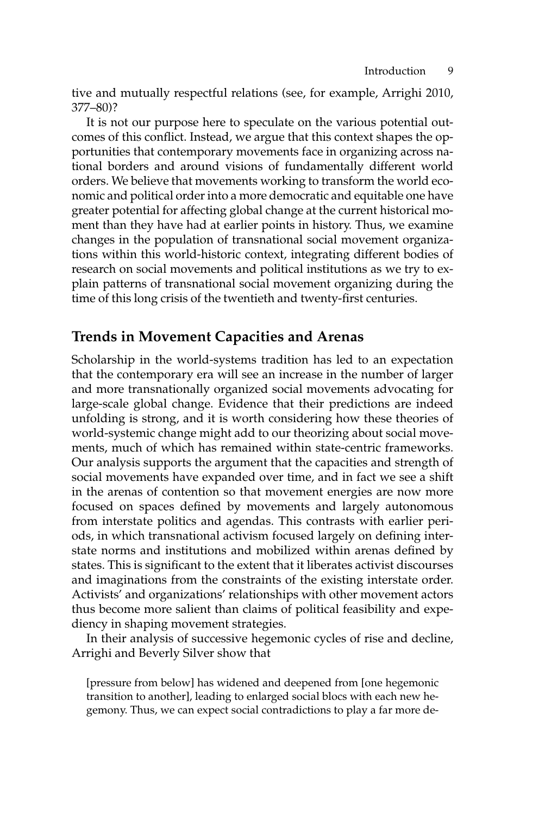tive and mutually respectful relations (see, for example, Arrighi 2010, 377–80)?

It is not our purpose here to speculate on the various potential outcomes of this conflict. Instead, we argue that this context shapes the opportunities that contemporary movements face in organizing across national borders and around visions of fundamentally different world orders. We believe that movements working to transform the world economic and political order into a more democratic and equitable one have greater potential for affecting global change at the current historical moment than they have had at earlier points in history. Thus, we examine changes in the population of transnational social movement organizations within this world-historic context, integrating different bodies of research on social movements and political institutions as we try to explain patterns of transnational social movement organizing during the time of this long crisis of the twentieth and twenty-first centuries.

## **Trends in Movement Capacities and Arenas**

Scholarship in the world-systems tradition has led to an expectation that the contemporary era will see an increase in the number of larger and more transnationally organized social movements advocating for large-scale global change. Evidence that their predictions are indeed unfolding is strong, and it is worth considering how these theories of world-systemic change might add to our theorizing about social movements, much of which has remained within state-centric frameworks. Our analysis supports the argument that the capacities and strength of social movements have expanded over time, and in fact we see a shift in the arenas of contention so that movement energies are now more focused on spaces defined by movements and largely autonomous from interstate politics and agendas. This contrasts with earlier periods, in which transnational activism focused largely on defining interstate norms and institutions and mobilized within arenas defined by states. This is significant to the extent that it liberates activist discourses and imaginations from the constraints of the existing interstate order. Activists' and organizations' relationships with other movement actors thus become more salient than claims of political feasibility and expediency in shaping movement strategies.

In their analysis of successive hegemonic cycles of rise and decline, Arrighi and Beverly Silver show that

[pressure from below] has widened and deepened from [one hegemonic transition to another], leading to enlarged social blocs with each new hegemony. Thus, we can expect social contradictions to play a far more de-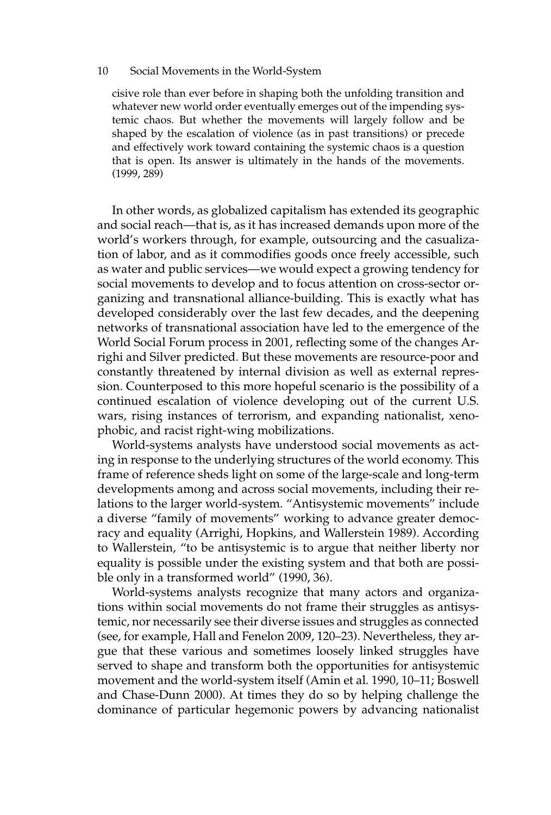cisive role than ever before in shaping both the unfolding transition and whatever new world order eventually emerges out of the impending systemic chaos. But whether the movements will largely follow and be shaped by the escalation of violence (as in past transitions) or precede and effectively work toward containing the systemic chaos is a question that is open. Its answer is ultimately in the hands of the movements. (1999, 289)

In other words, as globalized capitalism has extended its geographic and social reach—that is, as it has increased demands upon more of the world's workers through, for example, outsourcing and the casualization of labor, and as it commodifies goods once freely accessible, such as water and public services—we would expect a growing tendency for social movements to develop and to focus attention on cross-sector organizing and transnational alliance-building. This is exactly what has developed considerably over the last few decades, and the deepening networks of transnational association have led to the emergence of the World Social Forum process in 2001, reflecting some of the changes Arrighi and Silver predicted. But these movements are resource-poor and constantly threatened by internal division as well as external repression. Counterposed to this more hopeful scenario is the possibility of a continued escalation of violence developing out of the current U.S. wars, rising instances of terrorism, and expanding nationalist, xenophobic, and racist right-wing mobilizations.

World-systems analysts have understood social movements as acting in response to the underlying structures of the world economy. This frame of reference sheds light on some of the large-scale and long-term developments among and across social movements, including their relations to the larger world-system. "Antisystemic movements" include a diverse "family of movements" working to advance greater democracy and equality (Arrighi, Hopkins, and Wallerstein 1989). According to Wallerstein, "to be antisystemic is to argue that neither liberty nor equality is possible under the existing system and that both are possible only in a transformed world" (1990, 36).

World-systems analysts recognize that many actors and organizations within social movements do not frame their struggles as antisystemic, nor necessarily see their diverse issues and struggles as connected (see, for example, Hall and Fenelon 2009, 120–23). Nevertheless, they argue that these various and sometimes loosely linked struggles have served to shape and transform both the opportunities for antisystemic movement and the world-system itself (Amin et al. 1990, 10–11; Boswell and Chase-Dunn 2000). At times they do so by helping challenge the dominance of particular hegemonic powers by advancing nationalist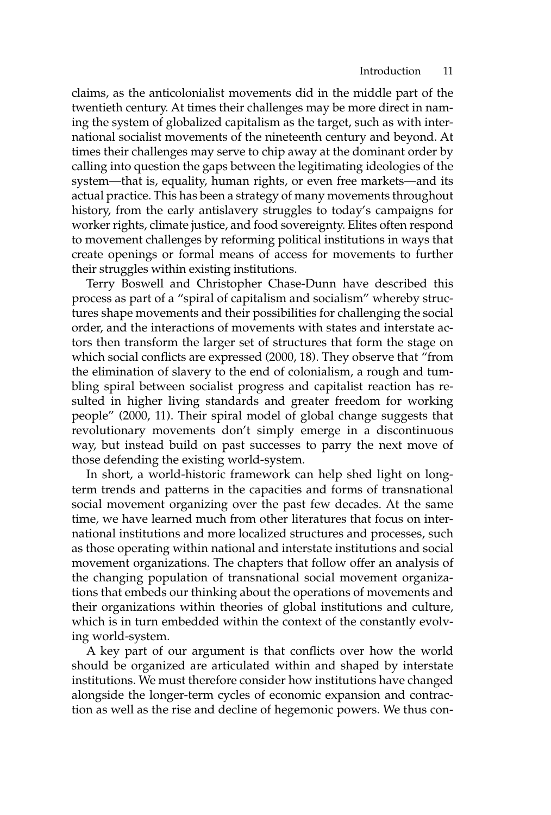claims, as the anticolonialist movements did in the middle part of the twentieth century. At times their challenges may be more direct in naming the system of globalized capitalism as the target, such as with international socialist movements of the nineteenth century and beyond. At times their challenges may serve to chip away at the dominant order by calling into question the gaps between the legitimating ideologies of the system—that is, equality, human rights, or even free markets—and its actual practice. This has been a strategy of many movements throughout history, from the early antislavery struggles to today's campaigns for worker rights, climate justice, and food sovereignty. Elites often respond to movement challenges by reforming political institutions in ways that create openings or formal means of access for movements to further their struggles within existing institutions.

Terry Boswell and Christopher Chase-Dunn have described this process as part of a "spiral of capitalism and socialism" whereby structures shape movements and their possibilities for challenging the social order, and the interactions of movements with states and interstate actors then transform the larger set of structures that form the stage on which social conflicts are expressed (2000, 18). They observe that "from the elimination of slavery to the end of colonialism, a rough and tumbling spiral between socialist progress and capitalist reaction has resulted in higher living standards and greater freedom for working people" (2000, 11). Their spiral model of global change suggests that revolutionary movements don't simply emerge in a discontinuous way, but instead build on past successes to parry the next move of those defending the existing world-system.

In short, a world-historic framework can help shed light on longterm trends and patterns in the capacities and forms of transnational social movement organizing over the past few decades. At the same time, we have learned much from other literatures that focus on international institutions and more localized structures and processes, such as those operating within national and interstate institutions and social movement organizations. The chapters that follow offer an analysis of the changing population of transnational social movement organizations that embeds our thinking about the operations of movements and their organizations within theories of global institutions and culture, which is in turn embedded within the context of the constantly evolving world-system.

A key part of our argument is that conflicts over how the world should be organized are articulated within and shaped by interstate institutions. We must therefore consider how institutions have changed alongside the longer-term cycles of economic expansion and contraction as well as the rise and decline of hegemonic powers. We thus con-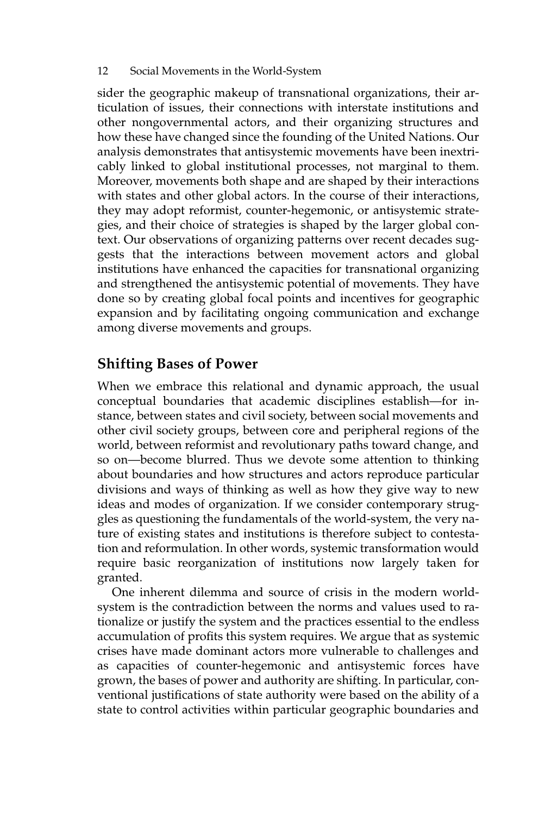sider the geographic makeup of transnational organizations, their articulation of issues, their connections with interstate institutions and other nongovernmental actors, and their organizing structures and how these have changed since the founding of the United Nations. Our analysis demonstrates that antisystemic movements have been inextricably linked to global institutional processes, not marginal to them. Moreover, movements both shape and are shaped by their interactions with states and other global actors. In the course of their interactions, they may adopt reformist, counter-hegemonic, or antisystemic strategies, and their choice of strategies is shaped by the larger global context. Our observations of organizing patterns over recent decades suggests that the interactions between movement actors and global institutions have enhanced the capacities for transnational organizing and strengthened the antisystemic potential of movements. They have done so by creating global focal points and incentives for geographic expansion and by facilitating ongoing communication and exchange among diverse movements and groups.

# **Shifting Bases of Power**

When we embrace this relational and dynamic approach, the usual conceptual boundaries that academic disciplines establish—for instance, between states and civil society, between social movements and other civil society groups, between core and peripheral regions of the world, between reformist and revolutionary paths toward change, and so on—become blurred. Thus we devote some attention to thinking about boundaries and how structures and actors reproduce particular divisions and ways of thinking as well as how they give way to new ideas and modes of organization. If we consider contemporary struggles as questioning the fundamentals of the world-system, the very nature of existing states and institutions is therefore subject to contestation and reformulation. In other words, systemic transformation would require basic reorganization of institutions now largely taken for granted.

One inherent dilemma and source of crisis in the modern worldsystem is the contradiction between the norms and values used to rationalize or justify the system and the practices essential to the endless accumulation of profits this system requires. We argue that as systemic crises have made dominant actors more vulnerable to challenges and as capacities of counter-hegemonic and antisystemic forces have grown, the bases of power and authority are shifting. In particular, conventional justifications of state authority were based on the ability of a state to control activities within particular geographic boundaries and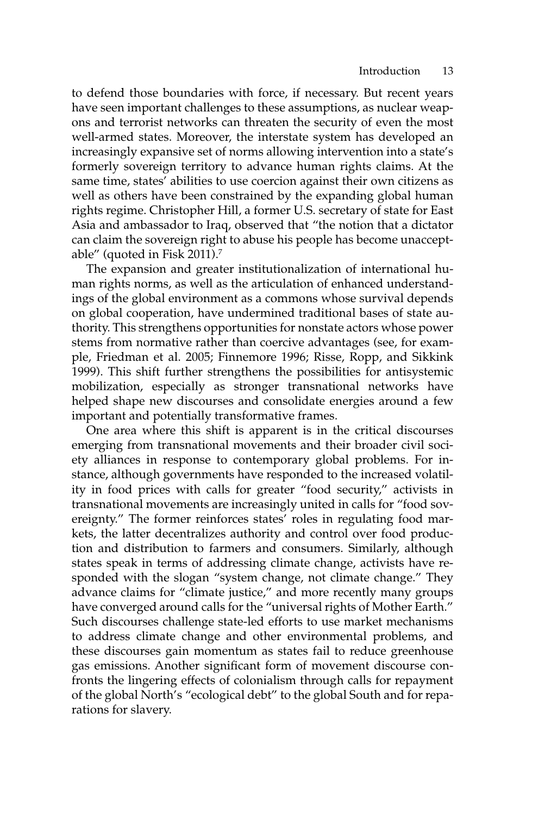to defend those boundaries with force, if necessary. But recent years have seen important challenges to these assumptions, as nuclear weapons and terrorist networks can threaten the security of even the most well-armed states. Moreover, the interstate system has developed an increasingly expansive set of norms allowing intervention into a state's formerly sovereign territory to advance human rights claims. At the same time, states' abilities to use coercion against their own citizens as well as others have been constrained by the expanding global human rights regime. Christopher Hill, a former U.S. secretary of state for East Asia and ambassador to Iraq, observed that "the notion that a dictator can claim the sovereign right to abuse his people has become unacceptable" (quoted in Fisk 2011).7

The expansion and greater institutionalization of international human rights norms, as well as the articulation of enhanced understandings of the global environment as a commons whose survival depends on global cooperation, have undermined traditional bases of state authority. This strengthens opportunities for nonstate actors whose power stems from normative rather than coercive advantages (see, for example, Friedman et al. 2005; Finnemore 1996; Risse, Ropp, and Sikkink 1999). This shift further strengthens the possibilities for antisystemic mobilization, especially as stronger transnational networks have helped shape new discourses and consolidate energies around a few important and potentially transformative frames.

One area where this shift is apparent is in the critical discourses emerging from transnational movements and their broader civil society alliances in response to contemporary global problems. For instance, although governments have responded to the increased volatility in food prices with calls for greater "food security," activists in transnational movements are increasingly united in calls for "food sovereignty." The former reinforces states' roles in regulating food markets, the latter decentralizes authority and control over food production and distribution to farmers and consumers. Similarly, although states speak in terms of addressing climate change, activists have responded with the slogan "system change, not climate change." They advance claims for "climate justice," and more recently many groups have converged around calls for the "universal rights of Mother Earth." Such discourses challenge state-led efforts to use market mechanisms to address climate change and other environmental problems, and these discourses gain momentum as states fail to reduce greenhouse gas emissions. Another significant form of movement discourse confronts the lingering effects of colonialism through calls for repayment of the global North's "ecological debt" to the global South and for reparations for slavery.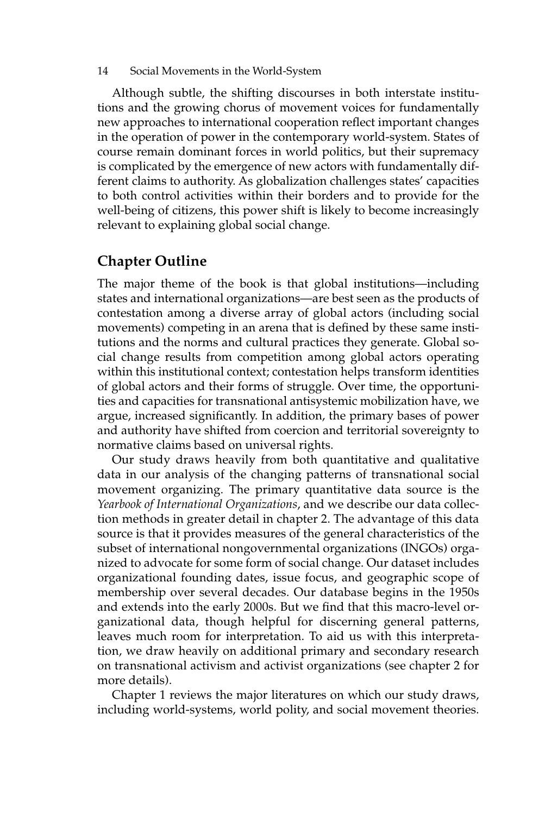Although subtle, the shifting discourses in both interstate institutions and the growing chorus of movement voices for fundamentally new approaches to international cooperation reflect important changes in the operation of power in the contemporary world-system. States of course remain dominant forces in world politics, but their supremacy is complicated by the emergence of new actors with fundamentally different claims to authority. As globalization challenges states' capacities to both control activities within their borders and to provide for the well-being of citizens, this power shift is likely to become increasingly relevant to explaining global social change.

## **Chapter Outline**

The major theme of the book is that global institutions—including states and international organizations—are best seen as the products of contestation among a diverse array of global actors (including social movements) competing in an arena that is defined by these same institutions and the norms and cultural practices they generate. Global social change results from competition among global actors operating within this institutional context; contestation helps transform identities of global actors and their forms of struggle. Over time, the opportunities and capacities for transnational antisystemic mobilization have, we argue, increased significantly. In addition, the primary bases of power and authority have shifted from coercion and territorial sovereignty to normative claims based on universal rights.

Our study draws heavily from both quantitative and qualitative data in our analysis of the changing patterns of transnational social movement organizing. The primary quantitative data source is the *Yearbook of International Organizations*, and we describe our data collection methods in greater detail in chapter 2. The advantage of this data source is that it provides measures of the general characteristics of the subset of international nongovernmental organizations (INGOs) organized to advocate for some form of social change. Our dataset includes organizational founding dates, issue focus, and geographic scope of membership over several decades. Our database begins in the 1950s and extends into the early 2000s. But we find that this macro-level organizational data, though helpful for discerning general patterns, leaves much room for interpretation. To aid us with this interpretation, we draw heavily on additional primary and secondary research on transnational activism and activist organizations (see chapter 2 for more details).

Chapter 1 reviews the major literatures on which our study draws, including world-systems, world polity, and social movement theories.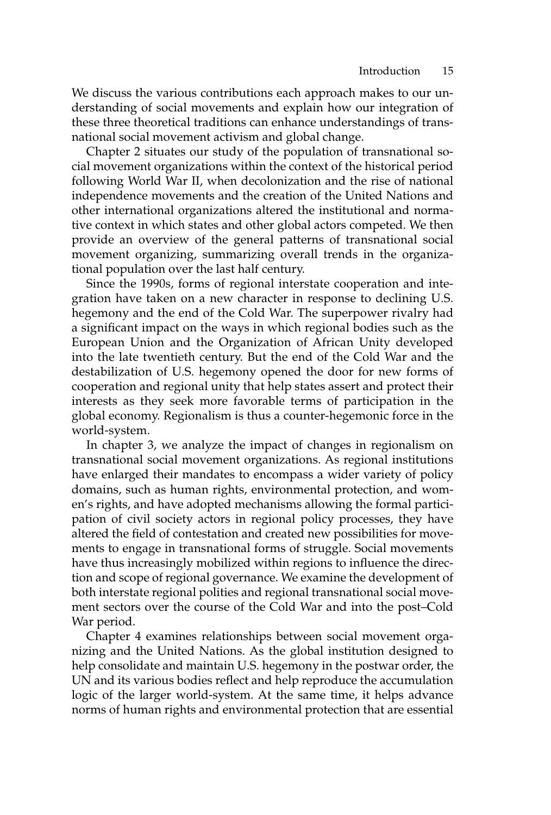We discuss the various contributions each approach makes to our understanding of social movements and explain how our integration of these three theoretical traditions can enhance understandings of transnational social movement activism and global change.

Chapter 2 situates our study of the population of transnational social movement organizations within the context of the historical period following World War II, when decolonization and the rise of national independence movements and the creation of the United Nations and other international organizations altered the institutional and normative context in which states and other global actors competed. We then provide an overview of the general patterns of transnational social movement organizing, summarizing overall trends in the organizational population over the last half century.

Since the 1990s, forms of regional interstate cooperation and integration have taken on a new character in response to declining U.S. hegemony and the end of the Cold War. The superpower rivalry had a significant impact on the ways in which regional bodies such as the European Union and the Organization of African Unity developed into the late twentieth century. But the end of the Cold War and the destabilization of U.S. hegemony opened the door for new forms of cooperation and regional unity that help states assert and protect their interests as they seek more favorable terms of participation in the global economy. Regionalism is thus a counter-hegemonic force in the world-system.

In chapter 3, we analyze the impact of changes in regionalism on transnational social movement organizations. As regional institutions have enlarged their mandates to encompass a wider variety of policy domains, such as human rights, environmental protection, and women's rights, and have adopted mechanisms allowing the formal participation of civil society actors in regional policy processes, they have altered the field of contestation and created new possibilities for movements to engage in transnational forms of struggle. Social movements have thus increasingly mobilized within regions to influence the direction and scope of regional governance. We examine the development of both interstate regional polities and regional transnational social movement sectors over the course of the Cold War and into the post–Cold War period.

Chapter 4 examines relationships between social movement organizing and the United Nations. As the global institution designed to help consolidate and maintain U.S. hegemony in the postwar order, the UN and its various bodies reflect and help reproduce the accumulation logic of the larger world-system. At the same time, it helps advance norms of human rights and environmental protection that are essential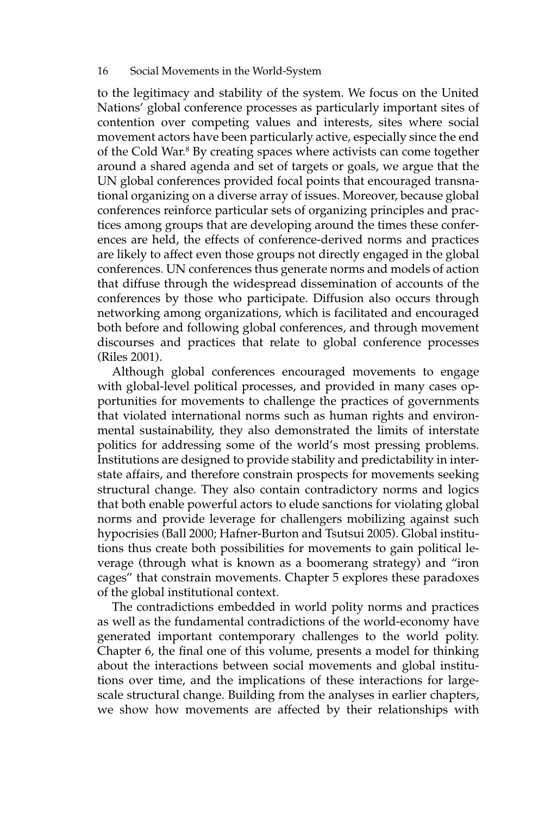to the legitimacy and stability of the system. We focus on the United Nations' global conference processes as particularly important sites of contention over competing values and interests, sites where social movement actors have been particularly active, especially since the end of the Cold War.<sup>8</sup> By creating spaces where activists can come together around a shared agenda and set of targets or goals, we argue that the UN global conferences provided focal points that encouraged transnational organizing on a diverse array of issues. Moreover, because global conferences reinforce particular sets of organizing principles and practices among groups that are developing around the times these conferences are held, the effects of conference-derived norms and practices are likely to affect even those groups not directly engaged in the global conferences. UN conferences thus generate norms and models of action that diffuse through the widespread dissemination of accounts of the conferences by those who participate. Diffusion also occurs through networking among organizations, which is facilitated and encouraged both before and following global conferences, and through movement discourses and practices that relate to global conference processes (Riles 2001).

Although global conferences encouraged movements to engage with global-level political processes, and provided in many cases opportunities for movements to challenge the practices of governments that violated international norms such as human rights and environmental sustainability, they also demonstrated the limits of interstate politics for addressing some of the world's most pressing problems. Institutions are designed to provide stability and predictability in interstate affairs, and therefore constrain prospects for movements seeking structural change. They also contain contradictory norms and logics that both enable powerful actors to elude sanctions for violating global norms and provide leverage for challengers mobilizing against such hypocrisies (Ball 2000; Hafner-Burton and Tsutsui 2005). Global institutions thus create both possibilities for movements to gain political leverage (through what is known as a boomerang strategy) and "iron cages" that constrain movements. Chapter 5 explores these paradoxes of the global institutional context.

The contradictions embedded in world polity norms and practices as well as the fundamental contradictions of the world-economy have generated important contemporary challenges to the world polity. Chapter 6, the final one of this volume, presents a model for thinking about the interactions between social movements and global institutions over time, and the implications of these interactions for largescale structural change. Building from the analyses in earlier chapters, we show how movements are affected by their relationships with